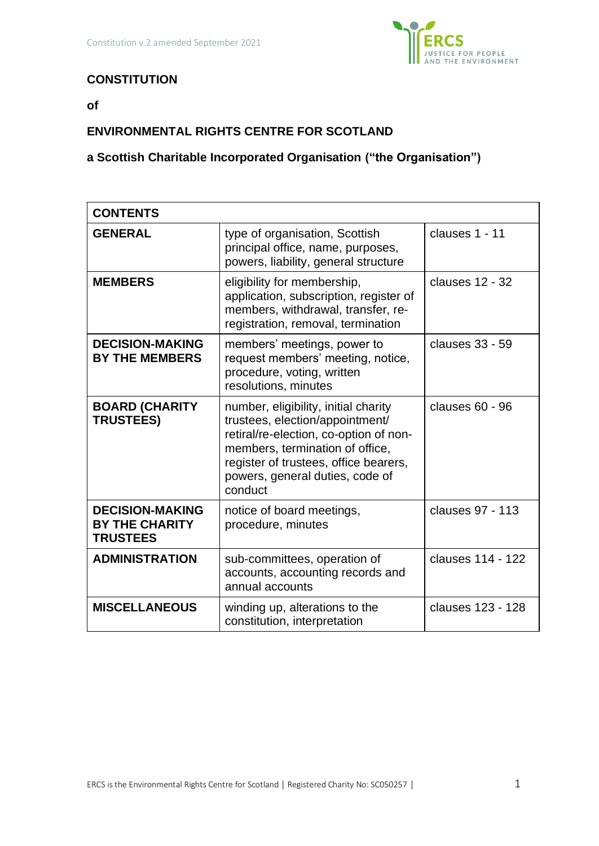

# **CONSTITUTION**

**of**

# **ENVIRONMENTAL RIGHTS CENTRE FOR SCOTLAND**

# **a Scottish Charitable Incorporated Organisation ("the Organisation")**

| <b>CONTENTS</b>                                                    |                                                                                                                                                                                                                                             |                   |
|--------------------------------------------------------------------|---------------------------------------------------------------------------------------------------------------------------------------------------------------------------------------------------------------------------------------------|-------------------|
| <b>GENERAL</b>                                                     | type of organisation, Scottish<br>principal office, name, purposes,<br>powers, liability, general structure                                                                                                                                 | clauses 1 - 11    |
| <b>MEMBERS</b>                                                     | eligibility for membership,<br>application, subscription, register of<br>members, withdrawal, transfer, re-<br>registration, removal, termination                                                                                           | clauses 12 - 32   |
| <b>DECISION-MAKING</b><br><b>BY THE MEMBERS</b>                    | members' meetings, power to<br>request members' meeting, notice,<br>procedure, voting, written<br>resolutions, minutes                                                                                                                      | clauses 33 - 59   |
| <b>BOARD (CHARITY</b><br><b>TRUSTEES)</b>                          | number, eligibility, initial charity<br>trustees, election/appointment/<br>retiral/re-election, co-option of non-<br>members, termination of office,<br>register of trustees, office bearers,<br>powers, general duties, code of<br>conduct | clauses $60 - 96$ |
| <b>DECISION-MAKING</b><br><b>BY THE CHARITY</b><br><b>TRUSTEES</b> | notice of board meetings,<br>procedure, minutes                                                                                                                                                                                             | clauses 97 - 113  |
| <b>ADMINISTRATION</b>                                              | sub-committees, operation of<br>accounts, accounting records and<br>annual accounts                                                                                                                                                         | clauses 114 - 122 |
| <b>MISCELLANEOUS</b>                                               | winding up, alterations to the<br>constitution, interpretation                                                                                                                                                                              | clauses 123 - 128 |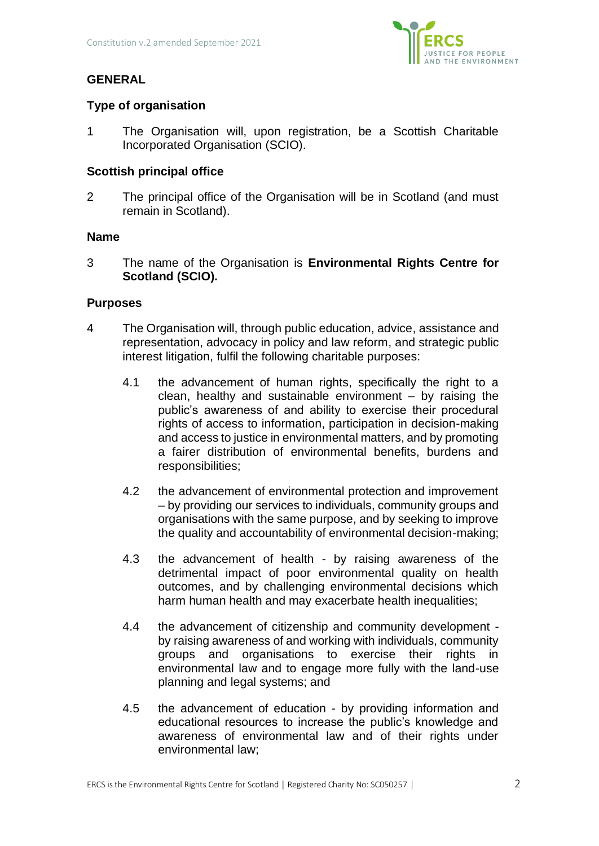

# **GENERAL**

# **Type of organisation**

1 The Organisation will, upon registration, be a Scottish Charitable Incorporated Organisation (SCIO).

# **Scottish principal office**

2 The principal office of the Organisation will be in Scotland (and must remain in Scotland).

# **Name**

3 The name of the Organisation is **Environmental Rights Centre for Scotland (SCIO).** 

# **Purposes**

- 4 The Organisation will, through public education, advice, assistance and representation, advocacy in policy and law reform, and strategic public interest litigation, fulfil the following charitable purposes:
	- 4.1 the advancement of human rights, specifically the right to a clean, healthy and sustainable environment  $-$  by raising the public's awareness of and ability to exercise their procedural rights of access to information, participation in decision-making and access to justice in environmental matters, and by promoting a fairer distribution of environmental benefits, burdens and responsibilities;
	- 4.2 the advancement of environmental protection and improvement – by providing our services to individuals, community groups and organisations with the same purpose, and by seeking to improve the quality and accountability of environmental decision-making;
	- 4.3 the advancement of health by raising awareness of the detrimental impact of poor environmental quality on health outcomes, and by challenging environmental decisions which harm human health and may exacerbate health inequalities;
	- 4.4 the advancement of citizenship and community development by raising awareness of and working with individuals, community groups and organisations to exercise their rights in environmental law and to engage more fully with the land-use planning and legal systems; and
	- 4.5 the advancement of education by providing information and educational resources to increase the public's knowledge and awareness of environmental law and of their rights under environmental law;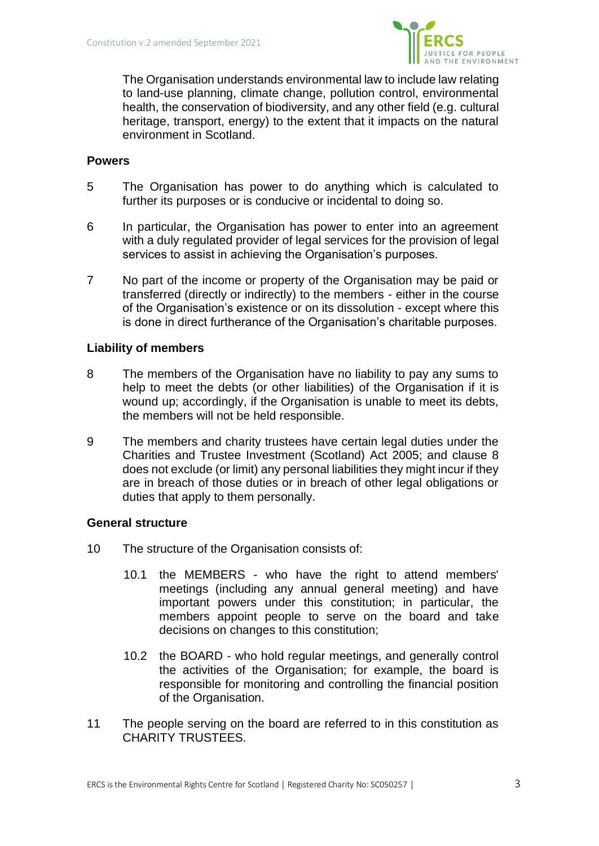

The Organisation understands environmental law to include law relating to land-use planning, climate change, pollution control, environmental health, the conservation of biodiversity, and any other field (e.g. cultural heritage, transport, energy) to the extent that it impacts on the natural environment in Scotland.

## **Powers**

- 5 The Organisation has power to do anything which is calculated to further its purposes or is conducive or incidental to doing so.
- 6 In particular, the Organisation has power to enter into an agreement with a duly regulated provider of legal services for the provision of legal services to assist in achieving the Organisation's purposes.
- 7 No part of the income or property of the Organisation may be paid or transferred (directly or indirectly) to the members - either in the course of the Organisation's existence or on its dissolution - except where this is done in direct furtherance of the Organisation's charitable purposes.

# **Liability of members**

- 8 The members of the Organisation have no liability to pay any sums to help to meet the debts (or other liabilities) of the Organisation if it is wound up; accordingly, if the Organisation is unable to meet its debts, the members will not be held responsible.
- 9 The members and charity trustees have certain legal duties under the Charities and Trustee Investment (Scotland) Act 2005; and clause 8 does not exclude (or limit) any personal liabilities they might incur if they are in breach of those duties or in breach of other legal obligations or duties that apply to them personally.

### **General structure**

- 10 The structure of the Organisation consists of:
	- 10.1 the MEMBERS who have the right to attend members' meetings (including any annual general meeting) and have important powers under this constitution; in particular, the members appoint people to serve on the board and take decisions on changes to this constitution;
	- 10.2 the BOARD who hold regular meetings, and generally control the activities of the Organisation; for example, the board is responsible for monitoring and controlling the financial position of the Organisation.
- 11 The people serving on the board are referred to in this constitution as CHARITY TRUSTEES.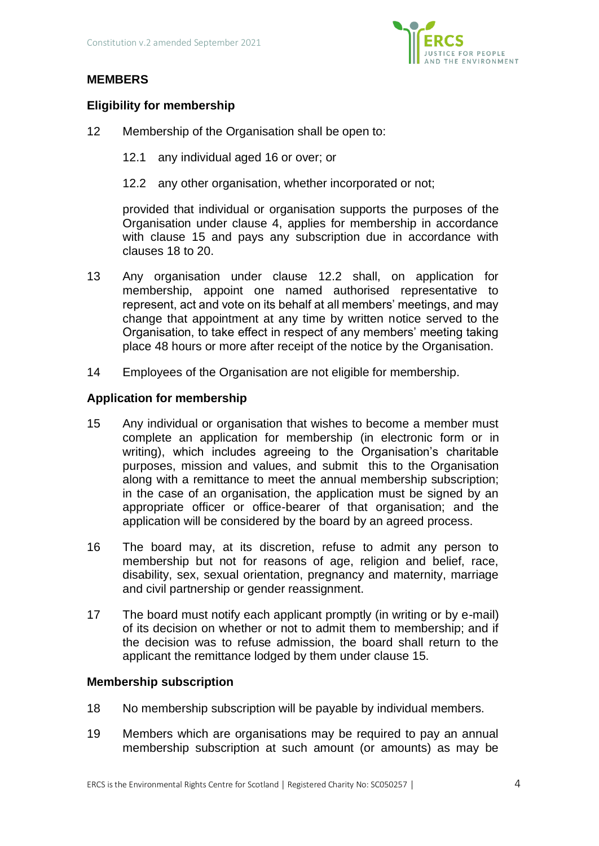

# **MEMBERS**

# **Eligibility for membership**

- 12 Membership of the Organisation shall be open to:
	- 12.1 any individual aged 16 or over; or
	- 12.2 any other organisation, whether incorporated or not;

provided that individual or organisation supports the purposes of the Organisation under clause 4, applies for membership in accordance with clause 15 and pays any subscription due in accordance with clauses 18 to 20.

- 13 Any organisation under clause 12.2 shall, on application for membership, appoint one named authorised representative to represent, act and vote on its behalf at all members' meetings, and may change that appointment at any time by written notice served to the Organisation, to take effect in respect of any members' meeting taking place 48 hours or more after receipt of the notice by the Organisation.
- 14 Employees of the Organisation are not eligible for membership.

## **Application for membership**

- 15 Any individual or organisation that wishes to become a member must complete an application for membership (in electronic form or in writing), which includes agreeing to the Organisation's charitable purposes, mission and values, and submit this to the Organisation along with a remittance to meet the annual membership subscription; in the case of an organisation, the application must be signed by an appropriate officer or office-bearer of that organisation; and the application will be considered by the board by an agreed process.
- 16 The board may, at its discretion, refuse to admit any person to membership but not for reasons of age, religion and belief, race, disability, sex, sexual orientation, pregnancy and maternity, marriage and civil partnership or gender reassignment.
- 17 The board must notify each applicant promptly (in writing or by e-mail) of its decision on whether or not to admit them to membership; and if the decision was to refuse admission, the board shall return to the applicant the remittance lodged by them under clause 15.

### **Membership subscription**

- 18 No membership subscription will be payable by individual members.
- 19 Members which are organisations may be required to pay an annual membership subscription at such amount (or amounts) as may be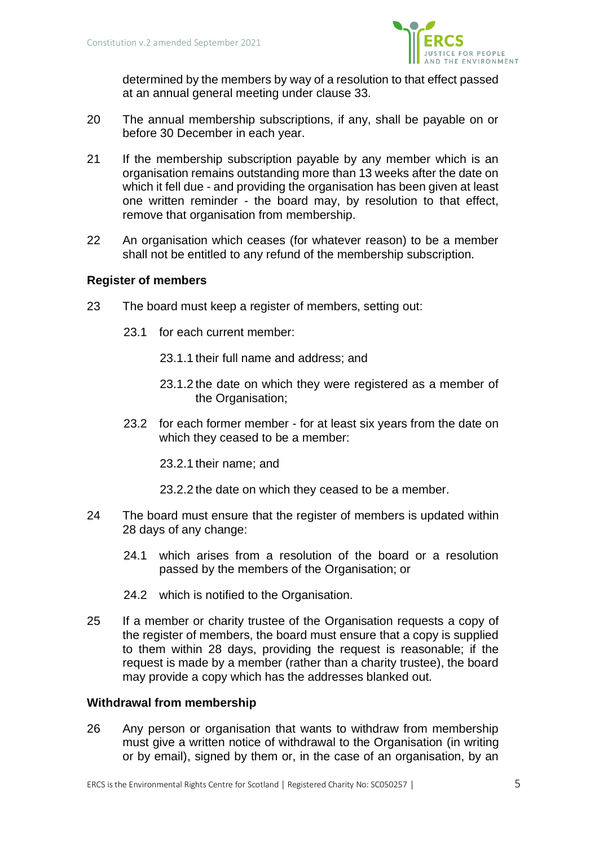

determined by the members by way of a resolution to that effect passed at an annual general meeting under clause 33.

- 20 The annual membership subscriptions, if any, shall be payable on or before 30 December in each year.
- 21 If the membership subscription payable by any member which is an organisation remains outstanding more than 13 weeks after the date on which it fell due - and providing the organisation has been given at least one written reminder - the board may, by resolution to that effect, remove that organisation from membership.
- 22 An organisation which ceases (for whatever reason) to be a member shall not be entitled to any refund of the membership subscription.

# **Register of members**

- 23 The board must keep a register of members, setting out:
	- 23.1 for each current member:
		- 23.1.1 their full name and address; and
		- 23.1.2 the date on which they were registered as a member of the Organisation;
	- 23.2 for each former member for at least six years from the date on which they ceased to be a member:
		- 23.2.1 their name; and
		- 23.2.2 the date on which they ceased to be a member.
- 24 The board must ensure that the register of members is updated within 28 days of any change:
	- 24.1 which arises from a resolution of the board or a resolution passed by the members of the Organisation; or
	- 24.2 which is notified to the Organisation.
- 25 If a member or charity trustee of the Organisation requests a copy of the register of members, the board must ensure that a copy is supplied to them within 28 days, providing the request is reasonable; if the request is made by a member (rather than a charity trustee), the board may provide a copy which has the addresses blanked out.

### **Withdrawal from membership**

26 Any person or organisation that wants to withdraw from membership must give a written notice of withdrawal to the Organisation (in writing or by email), signed by them or, in the case of an organisation, by an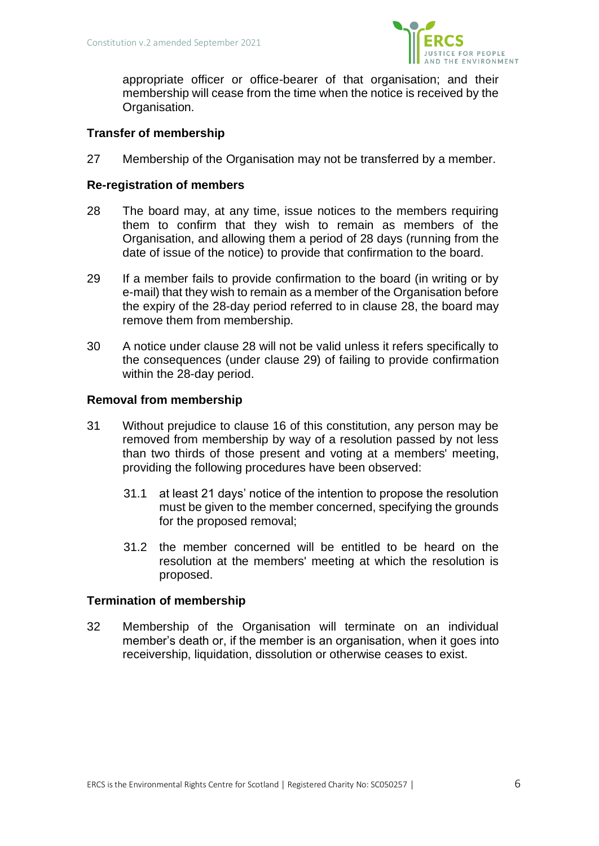

appropriate officer or office-bearer of that organisation; and their membership will cease from the time when the notice is received by the Organisation.

## **Transfer of membership**

27 Membership of the Organisation may not be transferred by a member.

## **Re-registration of members**

- 28 The board may, at any time, issue notices to the members requiring them to confirm that they wish to remain as members of the Organisation, and allowing them a period of 28 days (running from the date of issue of the notice) to provide that confirmation to the board.
- 29 If a member fails to provide confirmation to the board (in writing or by e-mail) that they wish to remain as a member of the Organisation before the expiry of the 28-day period referred to in clause 28, the board may remove them from membership.
- 30 A notice under clause 28 will not be valid unless it refers specifically to the consequences (under clause 29) of failing to provide confirmation within the 28-day period.

## **Removal from membership**

- 31 Without prejudice to clause 16 of this constitution, any person may be removed from membership by way of a resolution passed by not less than two thirds of those present and voting at a members' meeting, providing the following procedures have been observed:
	- 31.1 at least 21 days' notice of the intention to propose the resolution must be given to the member concerned, specifying the grounds for the proposed removal;
	- 31.2 the member concerned will be entitled to be heard on the resolution at the members' meeting at which the resolution is proposed.

### **Termination of membership**

32 Membership of the Organisation will terminate on an individual member's death or, if the member is an organisation, when it goes into receivership, liquidation, dissolution or otherwise ceases to exist.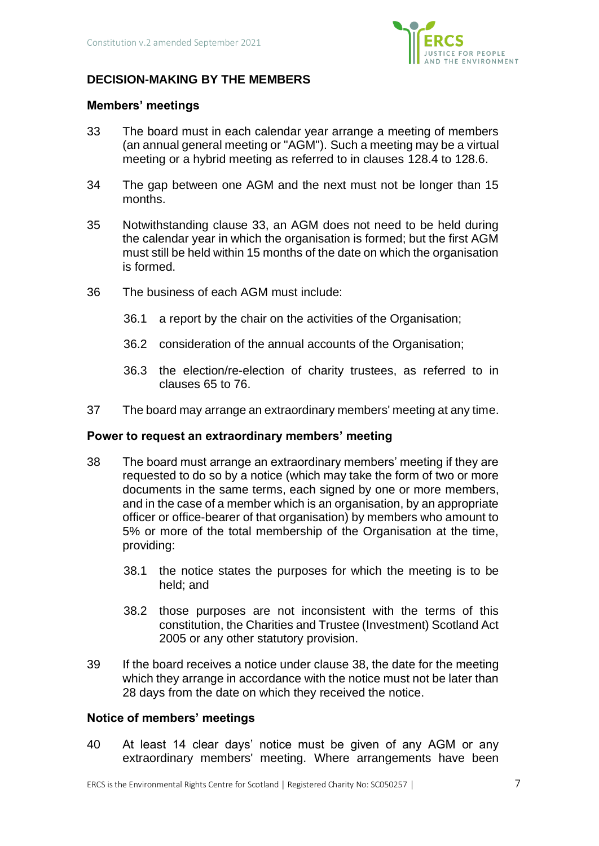

# **DECISION-MAKING BY THE MEMBERS**

## **Members' meetings**

- 33 The board must in each calendar year arrange a meeting of members (an annual general meeting or "AGM"). Such a meeting may be a virtual meeting or a hybrid meeting as referred to in clauses [128.4](#page-19-0) to [128.6.](#page-20-0)
- 34 The gap between one AGM and the next must not be longer than 15 months.
- 35 Notwithstanding clause 33, an AGM does not need to be held during the calendar year in which the organisation is formed; but the first AGM must still be held within 15 months of the date on which the organisation is formed.
- 36 The business of each AGM must include:
	- 36.1 a report by the chair on the activities of the Organisation;
	- 36.2 consideration of the annual accounts of the Organisation;
	- 36.3 the election/re-election of charity trustees, as referred to in clauses 65 to 76.
- 37 The board may arrange an extraordinary members' meeting at any time.

### **Power to request an extraordinary members' meeting**

- 38 The board must arrange an extraordinary members' meeting if they are requested to do so by a notice (which may take the form of two or more documents in the same terms, each signed by one or more members, and in the case of a member which is an organisation, by an appropriate officer or office-bearer of that organisation) by members who amount to 5% or more of the total membership of the Organisation at the time, providing:
	- 38.1 the notice states the purposes for which the meeting is to be held; and
	- 38.2 those purposes are not inconsistent with the terms of this constitution, the Charities and Trustee (Investment) Scotland Act 2005 or any other statutory provision.
- 39 If the board receives a notice under clause 38, the date for the meeting which they arrange in accordance with the notice must not be later than 28 days from the date on which they received the notice.

### **Notice of members' meetings**

40 At least 14 clear days' notice must be given of any AGM or any extraordinary members' meeting. Where arrangements have been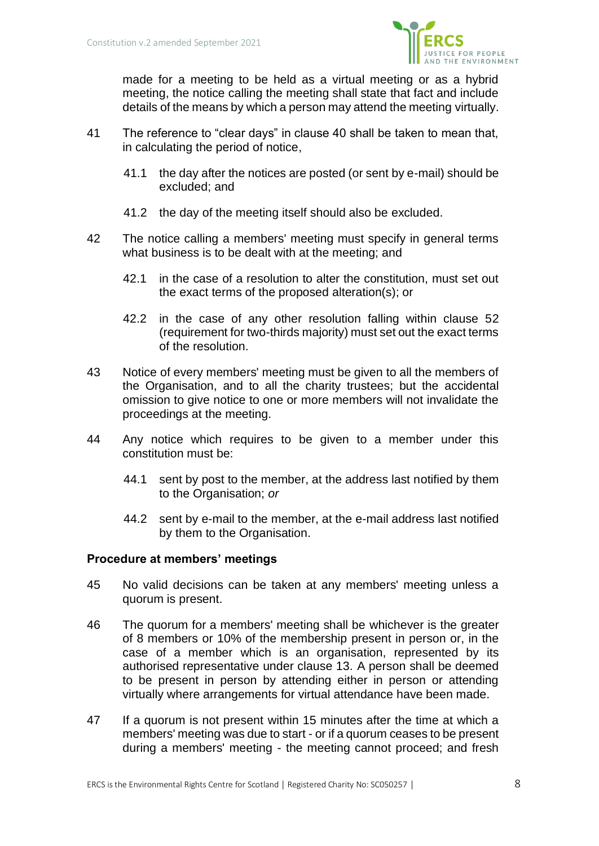

made for a meeting to be held as a virtual meeting or as a hybrid meeting, the notice calling the meeting shall state that fact and include details of the means by which a person may attend the meeting virtually.

- 41 The reference to "clear days" in clause 40 shall be taken to mean that, in calculating the period of notice,
	- 41.1 the day after the notices are posted (or sent by e-mail) should be excluded; and
	- 41.2 the day of the meeting itself should also be excluded.
- 42 The notice calling a members' meeting must specify in general terms what business is to be dealt with at the meeting; and
	- 42.1 in the case of a resolution to alter the constitution, must set out the exact terms of the proposed alteration(s); or
	- 42.2 in the case of any other resolution falling within clause 52 (requirement for two-thirds majority) must set out the exact terms of the resolution.
- 43 Notice of every members' meeting must be given to all the members of the Organisation, and to all the charity trustees; but the accidental omission to give notice to one or more members will not invalidate the proceedings at the meeting.
- 44 Any notice which requires to be given to a member under this constitution must be:
	- 44.1 sent by post to the member, at the address last notified by them to the Organisation; *or*
	- 44.2 sent by e-mail to the member, at the e-mail address last notified by them to the Organisation.

# **Procedure at members' meetings**

- 45 No valid decisions can be taken at any members' meeting unless a quorum is present.
- 46 The quorum for a members' meeting shall be whichever is the greater of 8 members or 10% of the membership present in person or, in the case of a member which is an organisation, represented by its authorised representative under clause 13. A person shall be deemed to be present in person by attending either in person or attending virtually where arrangements for virtual attendance have been made.
- 47 If a quorum is not present within 15 minutes after the time at which a members' meeting was due to start - or if a quorum ceases to be present during a members' meeting - the meeting cannot proceed; and fresh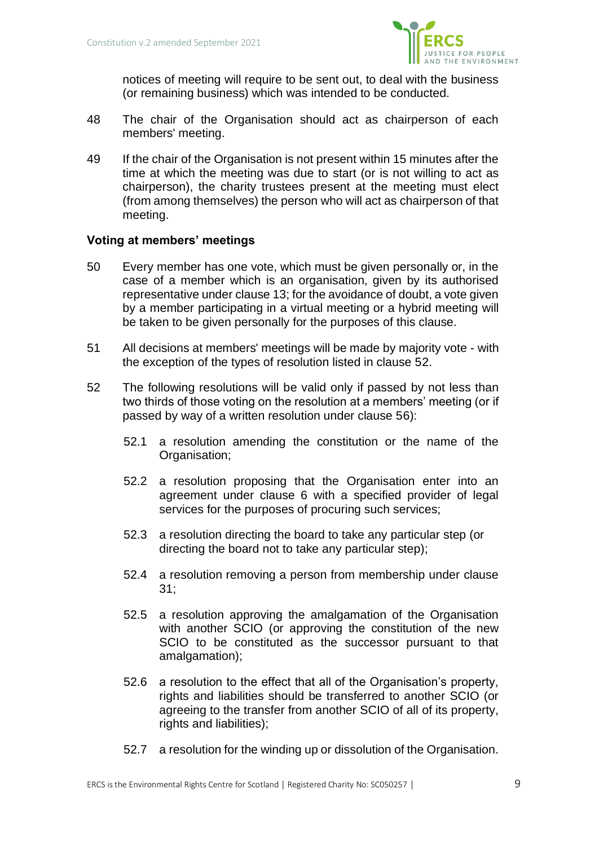

notices of meeting will require to be sent out, to deal with the business (or remaining business) which was intended to be conducted.

- 48 The chair of the Organisation should act as chairperson of each members' meeting.
- 49 If the chair of the Organisation is not present within 15 minutes after the time at which the meeting was due to start (or is not willing to act as chairperson), the charity trustees present at the meeting must elect (from among themselves) the person who will act as chairperson of that meeting.

# **Voting at members' meetings**

- 50 Every member has one vote, which must be given personally or, in the case of a member which is an organisation, given by its authorised representative under clause 13; for the avoidance of doubt, a vote given by a member participating in a virtual meeting or a hybrid meeting will be taken to be given personally for the purposes of this clause.
- 51 All decisions at members' meetings will be made by majority vote with the exception of the types of resolution listed in clause 52.
- 52 The following resolutions will be valid only if passed by not less than two thirds of those voting on the resolution at a members' meeting (or if passed by way of a written resolution under clause 56):
	- 52.1 a resolution amending the constitution or the name of the Organisation;
	- 52.2 a resolution proposing that the Organisation enter into an agreement under clause 6 with a specified provider of legal services for the purposes of procuring such services;
	- 52.3 a resolution directing the board to take any particular step (or directing the board not to take any particular step);
	- 52.4 a resolution removing a person from membership under clause 31;
	- 52.5 a resolution approving the amalgamation of the Organisation with another SCIO (or approving the constitution of the new SCIO to be constituted as the successor pursuant to that amalgamation);
	- 52.6 a resolution to the effect that all of the Organisation's property, rights and liabilities should be transferred to another SCIO (or agreeing to the transfer from another SCIO of all of its property, rights and liabilities);
	- 52.7 a resolution for the winding up or dissolution of the Organisation.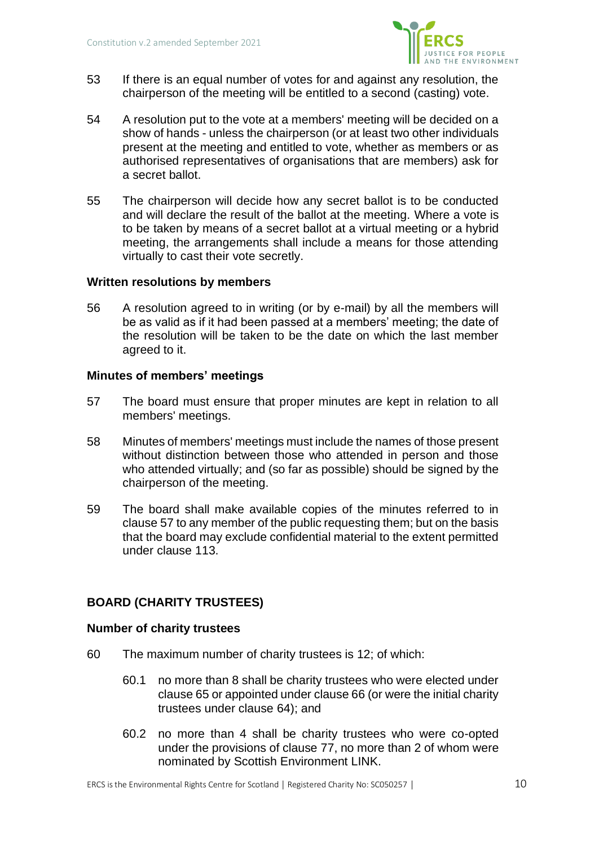

- 53 If there is an equal number of votes for and against any resolution, the chairperson of the meeting will be entitled to a second (casting) vote.
- 54 A resolution put to the vote at a members' meeting will be decided on a show of hands - unless the chairperson (or at least two other individuals present at the meeting and entitled to vote, whether as members or as authorised representatives of organisations that are members) ask for a secret ballot.
- 55 The chairperson will decide how any secret ballot is to be conducted and will declare the result of the ballot at the meeting. Where a vote is to be taken by means of a secret ballot at a virtual meeting or a hybrid meeting, the arrangements shall include a means for those attending virtually to cast their vote secretly.

# **Written resolutions by members**

56 A resolution agreed to in writing (or by e-mail) by all the members will be as valid as if it had been passed at a members' meeting; the date of the resolution will be taken to be the date on which the last member agreed to it.

## **Minutes of members' meetings**

- 57 The board must ensure that proper minutes are kept in relation to all members' meetings.
- 58 Minutes of members' meetings must include the names of those present without distinction between those who attended in person and those who attended virtually; and (so far as possible) should be signed by the chairperson of the meeting.
- 59 The board shall make available copies of the minutes referred to in clause 57 to any member of the public requesting them; but on the basis that the board may exclude confidential material to the extent permitted under clause 113.

# **BOARD (CHARITY TRUSTEES)**

### **Number of charity trustees**

- 60 The maximum number of charity trustees is 12; of which:
	- 60.1 no more than 8 shall be charity trustees who were elected under clause 65 or appointed under clause 66 (or were the initial charity trustees under clause 64); and
	- 60.2 no more than 4 shall be charity trustees who were co-opted under the provisions of clause 77, no more than 2 of whom were nominated by Scottish Environment LINK.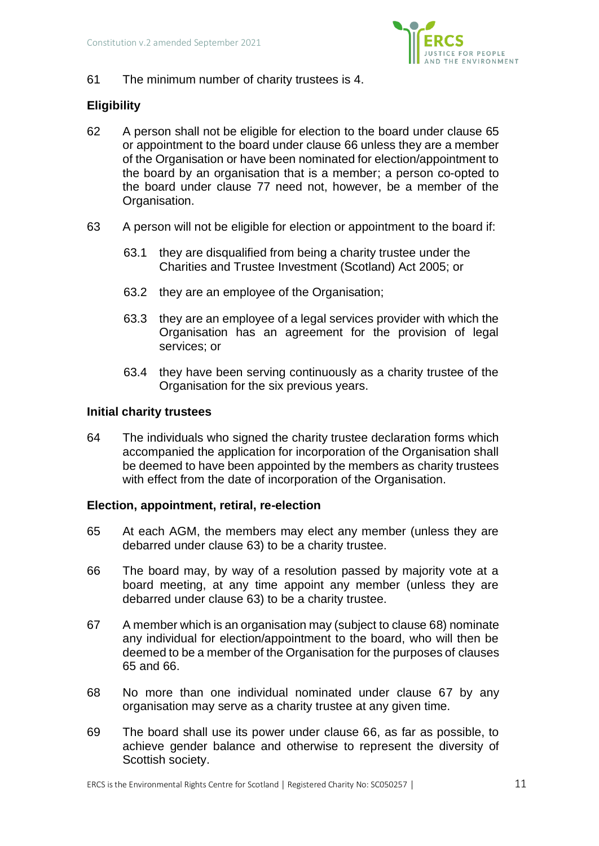

61 The minimum number of charity trustees is 4.

# **Eligibility**

- 62 A person shall not be eligible for election to the board under clause 65 or appointment to the board under clause 66 unless they are a member of the Organisation or have been nominated for election/appointment to the board by an organisation that is a member; a person co-opted to the board under clause 77 need not, however, be a member of the Organisation.
- 63 A person will not be eligible for election or appointment to the board if:
	- 63.1 they are disqualified from being a charity trustee under the Charities and Trustee Investment (Scotland) Act 2005; or
	- 63.2 they are an employee of the Organisation;
	- 63.3 they are an employee of a legal services provider with which the Organisation has an agreement for the provision of legal services; or
	- 63.4 they have been serving continuously as a charity trustee of the Organisation for the six previous years.

## **Initial charity trustees**

64 The individuals who signed the charity trustee declaration forms which accompanied the application for incorporation of the Organisation shall be deemed to have been appointed by the members as charity trustees with effect from the date of incorporation of the Organisation.

### **Election, appointment, retiral, re-election**

- 65 At each AGM, the members may elect any member (unless they are debarred under clause 63) to be a charity trustee.
- 66 The board may, by way of a resolution passed by majority vote at a board meeting, at any time appoint any member (unless they are debarred under clause 63) to be a charity trustee.
- 67 A member which is an organisation may (subject to clause 68) nominate any individual for election/appointment to the board, who will then be deemed to be a member of the Organisation for the purposes of clauses 65 and 66.
- 68 No more than one individual nominated under clause 67 by any organisation may serve as a charity trustee at any given time.
- 69 The board shall use its power under clause 66, as far as possible, to achieve gender balance and otherwise to represent the diversity of Scottish society.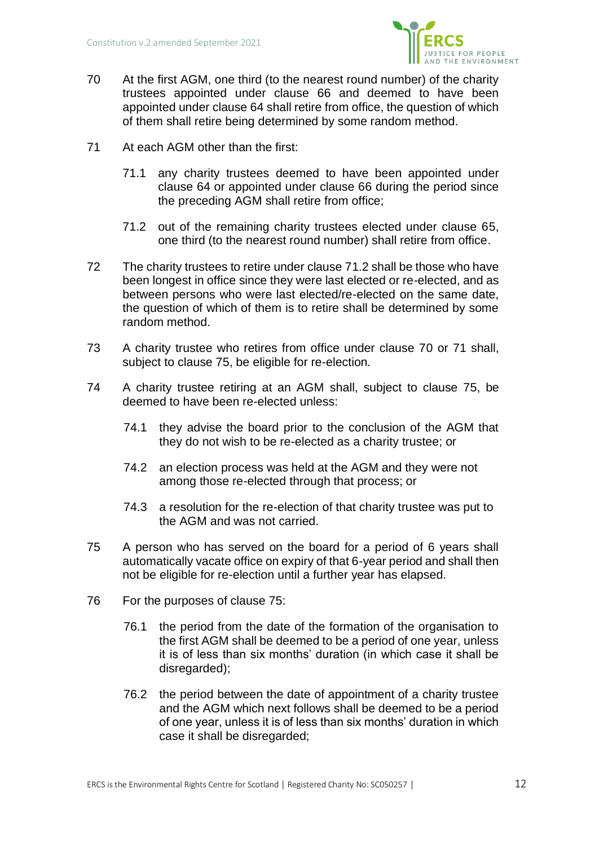

- 70 At the first AGM, one third (to the nearest round number) of the charity trustees appointed under clause 66 and deemed to have been appointed under clause 64 shall retire from office, the question of which of them shall retire being determined by some random method.
- 71 At each AGM other than the first:
	- 71.1 any charity trustees deemed to have been appointed under clause 64 or appointed under clause 66 during the period since the preceding AGM shall retire from office;
	- 71.2 out of the remaining charity trustees elected under clause 65, one third (to the nearest round number) shall retire from office.
- 72 The charity trustees to retire under clause 71.2 shall be those who have been longest in office since they were last elected or re-elected, and as between persons who were last elected/re-elected on the same date, the question of which of them is to retire shall be determined by some random method.
- 73 A charity trustee who retires from office under clause 70 or 71 shall, subject to clause 75, be eligible for re-election.
- 74 A charity trustee retiring at an AGM shall, subject to clause 75, be deemed to have been re-elected unless:
	- 74.1 they advise the board prior to the conclusion of the AGM that they do not wish to be re-elected as a charity trustee; or
	- 74.2 an election process was held at the AGM and they were not among those re-elected through that process; or
	- 74.3 a resolution for the re-election of that charity trustee was put to the AGM and was not carried.
- 75 A person who has served on the board for a period of 6 years shall automatically vacate office on expiry of that 6-year period and shall then not be eligible for re-election until a further year has elapsed.
- 76 For the purposes of clause 75:
	- 76.1 the period from the date of the formation of the organisation to the first AGM shall be deemed to be a period of one year, unless it is of less than six months' duration (in which case it shall be disregarded);
	- 76.2 the period between the date of appointment of a charity trustee and the AGM which next follows shall be deemed to be a period of one year, unless it is of less than six months' duration in which case it shall be disregarded;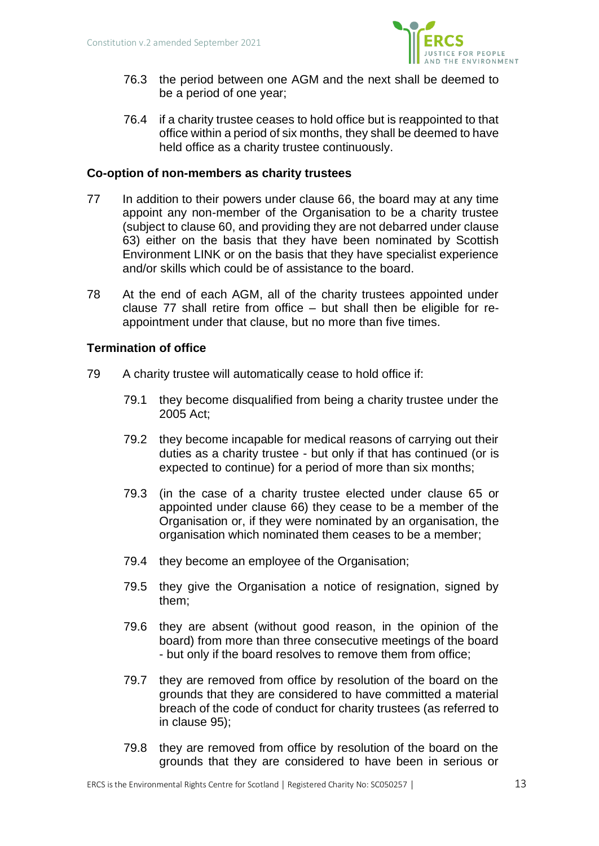

- 76.3 the period between one AGM and the next shall be deemed to be a period of one year;
- 76.4 if a charity trustee ceases to hold office but is reappointed to that office within a period of six months, they shall be deemed to have held office as a charity trustee continuously.

## **Co-option of non-members as charity trustees**

- 77 In addition to their powers under clause 66, the board may at any time appoint any non-member of the Organisation to be a charity trustee (subject to clause 60, and providing they are not debarred under clause 63) either on the basis that they have been nominated by Scottish Environment LINK or on the basis that they have specialist experience and/or skills which could be of assistance to the board.
- 78 At the end of each AGM, all of the charity trustees appointed under clause 77 shall retire from office  $-$  but shall then be eligible for reappointment under that clause, but no more than five times.

## **Termination of office**

- 79 A charity trustee will automatically cease to hold office if:
	- 79.1 they become disqualified from being a charity trustee under the 2005 Act;
	- 79.2 they become incapable for medical reasons of carrying out their duties as a charity trustee - but only if that has continued (or is expected to continue) for a period of more than six months;
	- 79.3 (in the case of a charity trustee elected under clause 65 or appointed under clause 66) they cease to be a member of the Organisation or, if they were nominated by an organisation, the organisation which nominated them ceases to be a member;
	- 79.4 they become an employee of the Organisation;
	- 79.5 they give the Organisation a notice of resignation, signed by them;
	- 79.6 they are absent (without good reason, in the opinion of the board) from more than three consecutive meetings of the board - but only if the board resolves to remove them from office;
	- 79.7 they are removed from office by resolution of the board on the grounds that they are considered to have committed a material breach of the code of conduct for charity trustees (as referred to in clause 95);
	- 79.8 they are removed from office by resolution of the board on the grounds that they are considered to have been in serious or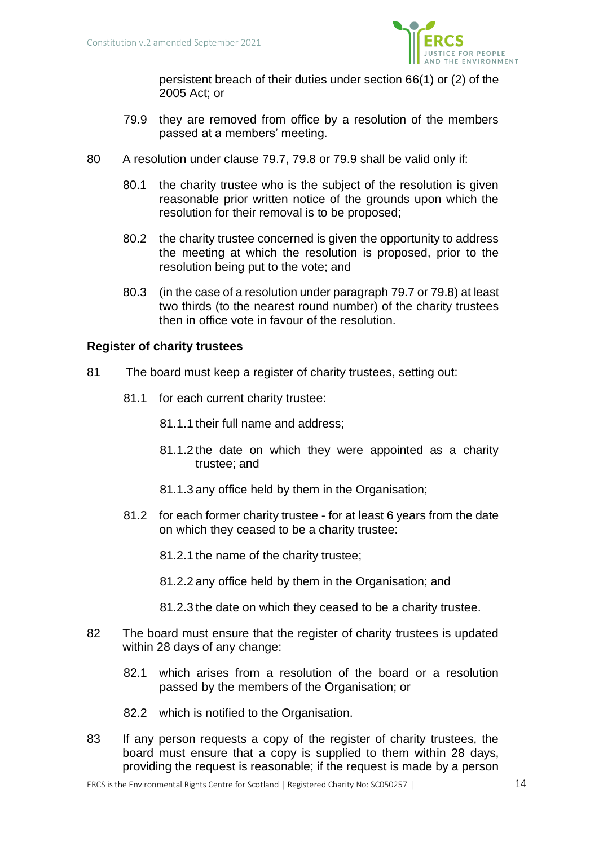

persistent breach of their duties under section 66(1) or (2) of the 2005 Act; or

- 79.9 they are removed from office by a resolution of the members passed at a members' meeting.
- 80 A resolution under clause 79.7, 79.8 or 79.9 shall be valid only if:
	- 80.1 the charity trustee who is the subject of the resolution is given reasonable prior written notice of the grounds upon which the resolution for their removal is to be proposed;
	- 80.2 the charity trustee concerned is given the opportunity to address the meeting at which the resolution is proposed, prior to the resolution being put to the vote; and
	- 80.3 (in the case of a resolution under paragraph 79.7 or 79.8) at least two thirds (to the nearest round number) of the charity trustees then in office vote in favour of the resolution.

## **Register of charity trustees**

- 81 The board must keep a register of charity trustees, setting out:
	- 81.1 for each current charity trustee:
		- 81.1.1 their full name and address;
		- 81.1.2 the date on which they were appointed as a charity trustee; and
		- 81.1.3 any office held by them in the Organisation;
	- 81.2 for each former charity trustee for at least 6 years from the date on which they ceased to be a charity trustee:
		- 81.2.1 the name of the charity trustee;
		- 81.2.2 any office held by them in the Organisation; and
		- 81.2.3 the date on which they ceased to be a charity trustee.
- 82 The board must ensure that the register of charity trustees is updated within 28 days of any change:
	- 82.1 which arises from a resolution of the board or a resolution passed by the members of the Organisation; or
	- 82.2 which is notified to the Organisation.
- 83 If any person requests a copy of the register of charity trustees, the board must ensure that a copy is supplied to them within 28 days, providing the request is reasonable; if the request is made by a person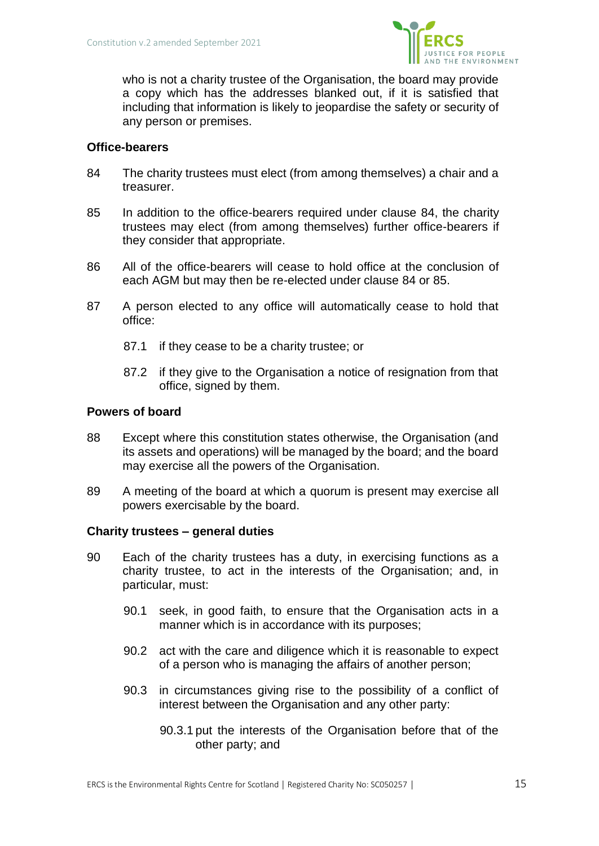

who is not a charity trustee of the Organisation, the board may provide a copy which has the addresses blanked out, if it is satisfied that including that information is likely to jeopardise the safety or security of any person or premises.

## **Office-bearers**

- 84 The charity trustees must elect (from among themselves) a chair and a treasurer.
- 85 In addition to the office-bearers required under clause 84, the charity trustees may elect (from among themselves) further office-bearers if they consider that appropriate.
- 86 All of the office-bearers will cease to hold office at the conclusion of each AGM but may then be re-elected under clause 84 or 85.
- 87 A person elected to any office will automatically cease to hold that office:
	- 87.1 if they cease to be a charity trustee; or
	- 87.2 if they give to the Organisation a notice of resignation from that office, signed by them.

## **Powers of board**

- 88 Except where this constitution states otherwise, the Organisation (and its assets and operations) will be managed by the board; and the board may exercise all the powers of the Organisation.
- 89 A meeting of the board at which a quorum is present may exercise all powers exercisable by the board.

### **Charity trustees – general duties**

- 90 Each of the charity trustees has a duty, in exercising functions as a charity trustee, to act in the interests of the Organisation; and, in particular, must:
	- 90.1 seek, in good faith, to ensure that the Organisation acts in a manner which is in accordance with its purposes;
	- 90.2 act with the care and diligence which it is reasonable to expect of a person who is managing the affairs of another person;
	- 90.3 in circumstances giving rise to the possibility of a conflict of interest between the Organisation and any other party:
		- 90.3.1 put the interests of the Organisation before that of the other party; and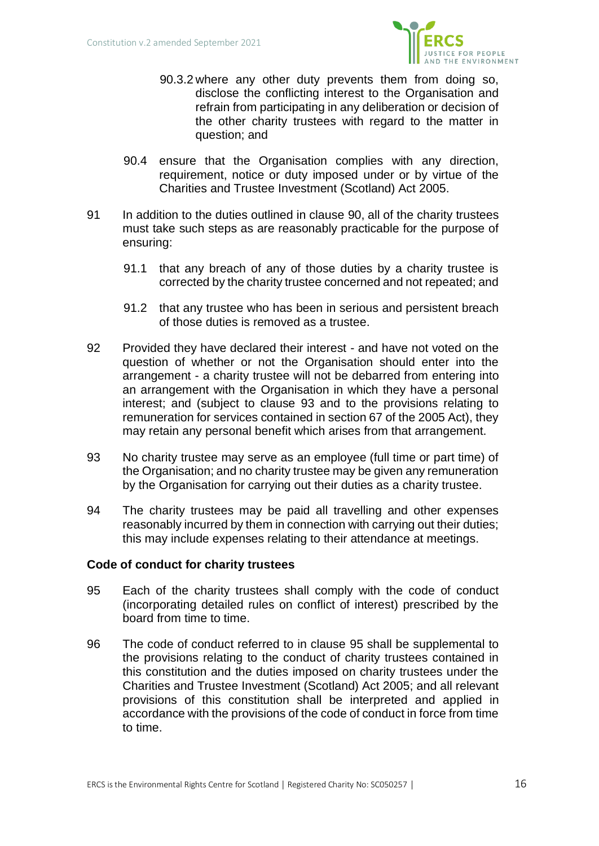

- 90.3.2 where any other duty prevents them from doing so, disclose the conflicting interest to the Organisation and refrain from participating in any deliberation or decision of the other charity trustees with regard to the matter in question; and
- 90.4 ensure that the Organisation complies with any direction, requirement, notice or duty imposed under or by virtue of the Charities and Trustee Investment (Scotland) Act 2005.
- 91 In addition to the duties outlined in clause 90, all of the charity trustees must take such steps as are reasonably practicable for the purpose of ensuring:
	- 91.1 that any breach of any of those duties by a charity trustee is corrected by the charity trustee concerned and not repeated; and
	- 91.2 that any trustee who has been in serious and persistent breach of those duties is removed as a trustee.
- 92 Provided they have declared their interest and have not voted on the question of whether or not the Organisation should enter into the arrangement - a charity trustee will not be debarred from entering into an arrangement with the Organisation in which they have a personal interest; and (subject to clause 93 and to the provisions relating to remuneration for services contained in section 67 of the 2005 Act), they may retain any personal benefit which arises from that arrangement.
- 93 No charity trustee may serve as an employee (full time or part time) of the Organisation; and no charity trustee may be given any remuneration by the Organisation for carrying out their duties as a charity trustee.
- 94 The charity trustees may be paid all travelling and other expenses reasonably incurred by them in connection with carrying out their duties; this may include expenses relating to their attendance at meetings.

### **Code of conduct for charity trustees**

- 95 Each of the charity trustees shall comply with the code of conduct (incorporating detailed rules on conflict of interest) prescribed by the board from time to time.
- 96 The code of conduct referred to in clause 95 shall be supplemental to the provisions relating to the conduct of charity trustees contained in this constitution and the duties imposed on charity trustees under the Charities and Trustee Investment (Scotland) Act 2005; and all relevant provisions of this constitution shall be interpreted and applied in accordance with the provisions of the code of conduct in force from time to time.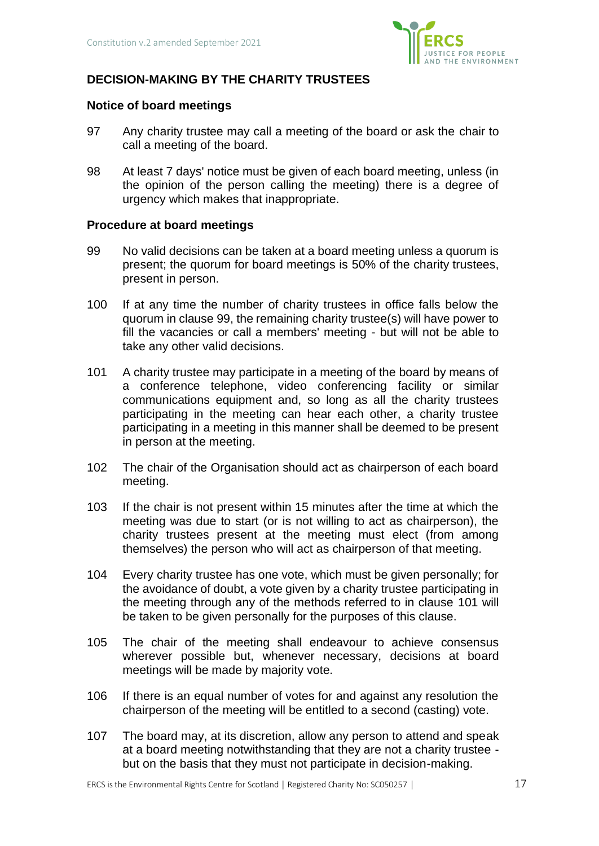

# **DECISION-MAKING BY THE CHARITY TRUSTEES**

### **Notice of board meetings**

- 97 Any charity trustee may call a meeting of the board or ask the chair to call a meeting of the board.
- 98 At least 7 days' notice must be given of each board meeting, unless (in the opinion of the person calling the meeting) there is a degree of urgency which makes that inappropriate.

### **Procedure at board meetings**

- 99 No valid decisions can be taken at a board meeting unless a quorum is present; the quorum for board meetings is 50% of the charity trustees, present in person.
- 100 If at any time the number of charity trustees in office falls below the quorum in clause 99, the remaining charity trustee(s) will have power to fill the vacancies or call a members' meeting - but will not be able to take any other valid decisions.
- 101 A charity trustee may participate in a meeting of the board by means of a conference telephone, video conferencing facility or similar communications equipment and, so long as all the charity trustees participating in the meeting can hear each other, a charity trustee participating in a meeting in this manner shall be deemed to be present in person at the meeting.
- 102 The chair of the Organisation should act as chairperson of each board meeting.
- 103 If the chair is not present within 15 minutes after the time at which the meeting was due to start (or is not willing to act as chairperson), the charity trustees present at the meeting must elect (from among themselves) the person who will act as chairperson of that meeting.
- 104 Every charity trustee has one vote, which must be given personally; for the avoidance of doubt, a vote given by a charity trustee participating in the meeting through any of the methods referred to in clause 101 will be taken to be given personally for the purposes of this clause.
- 105 The chair of the meeting shall endeavour to achieve consensus wherever possible but, whenever necessary, decisions at board meetings will be made by majority vote.
- 106 If there is an equal number of votes for and against any resolution the chairperson of the meeting will be entitled to a second (casting) vote.
- 107 The board may, at its discretion, allow any person to attend and speak at a board meeting notwithstanding that they are not a charity trustee but on the basis that they must not participate in decision-making.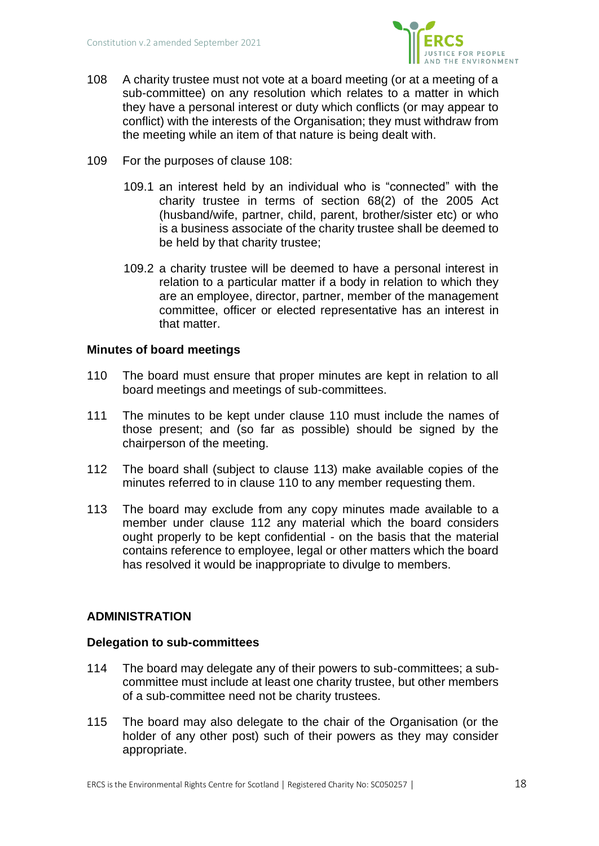

- 108 A charity trustee must not vote at a board meeting (or at a meeting of a sub-committee) on any resolution which relates to a matter in which they have a personal interest or duty which conflicts (or may appear to conflict) with the interests of the Organisation; they must withdraw from the meeting while an item of that nature is being dealt with.
- 109 For the purposes of clause 108:
	- 109.1 an interest held by an individual who is "connected" with the charity trustee in terms of section 68(2) of the 2005 Act (husband/wife, partner, child, parent, brother/sister etc) or who is a business associate of the charity trustee shall be deemed to be held by that charity trustee;
	- 109.2 a charity trustee will be deemed to have a personal interest in relation to a particular matter if a body in relation to which they are an employee, director, partner, member of the management committee, officer or elected representative has an interest in that matter.

## **Minutes of board meetings**

- 110 The board must ensure that proper minutes are kept in relation to all board meetings and meetings of sub-committees.
- 111 The minutes to be kept under clause 110 must include the names of those present; and (so far as possible) should be signed by the chairperson of the meeting.
- 112 The board shall (subject to clause 113) make available copies of the minutes referred to in clause 110 to any member requesting them.
- 113 The board may exclude from any copy minutes made available to a member under clause 112 any material which the board considers ought properly to be kept confidential - on the basis that the material contains reference to employee, legal or other matters which the board has resolved it would be inappropriate to divulge to members.

# **ADMINISTRATION**

### **Delegation to sub-committees**

- 114 The board may delegate any of their powers to sub-committees; a subcommittee must include at least one charity trustee, but other members of a sub-committee need not be charity trustees.
- 115 The board may also delegate to the chair of the Organisation (or the holder of any other post) such of their powers as they may consider appropriate.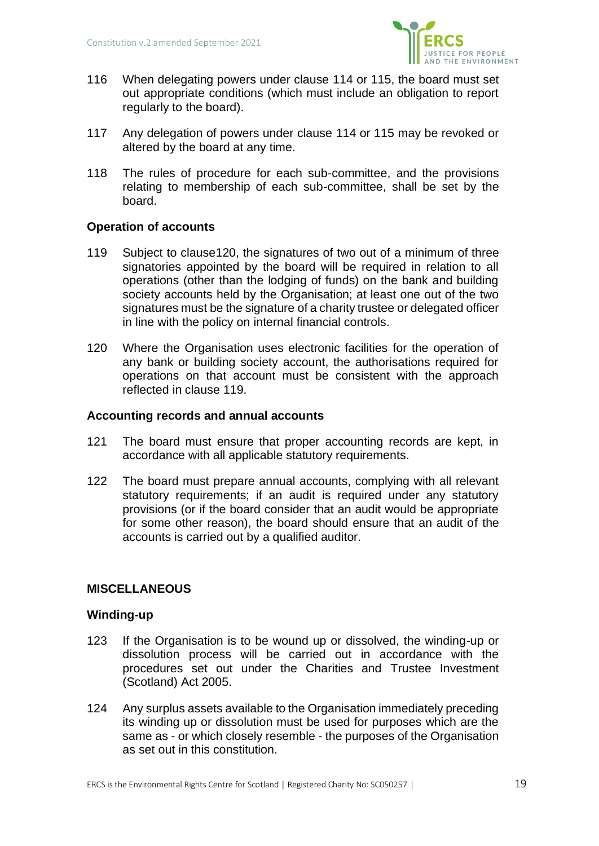

- 116 When delegating powers under clause 114 or 115, the board must set out appropriate conditions (which must include an obligation to report regularly to the board).
- 117 Any delegation of powers under clause 114 or 115 may be revoked or altered by the board at any time.
- 118 The rules of procedure for each sub-committee, and the provisions relating to membership of each sub-committee, shall be set by the board.

# **Operation of accounts**

- 119 Subject to claus[e120,](#page-18-0) the signatures of two out of a minimum of three signatories appointed by the board will be required in relation to all operations (other than the lodging of funds) on the bank and building society accounts held by the Organisation; at least one out of the two signatures must be the signature of a charity trustee or delegated officer in line with the policy on internal financial controls.
- <span id="page-18-0"></span>120 Where the Organisation uses electronic facilities for the operation of any bank or building society account, the authorisations required for operations on that account must be consistent with the approach reflected in clause 119.

### **Accounting records and annual accounts**

- 121 The board must ensure that proper accounting records are kept, in accordance with all applicable statutory requirements.
- 122 The board must prepare annual accounts, complying with all relevant statutory requirements; if an audit is required under any statutory provisions (or if the board consider that an audit would be appropriate for some other reason), the board should ensure that an audit of the accounts is carried out by a qualified auditor.

# **MISCELLANEOUS**

### **Winding-up**

- 123 If the Organisation is to be wound up or dissolved, the winding-up or dissolution process will be carried out in accordance with the procedures set out under the Charities and Trustee Investment (Scotland) Act 2005.
- 124 Any surplus assets available to the Organisation immediately preceding its winding up or dissolution must be used for purposes which are the same as - or which closely resemble - the purposes of the Organisation as set out in this constitution.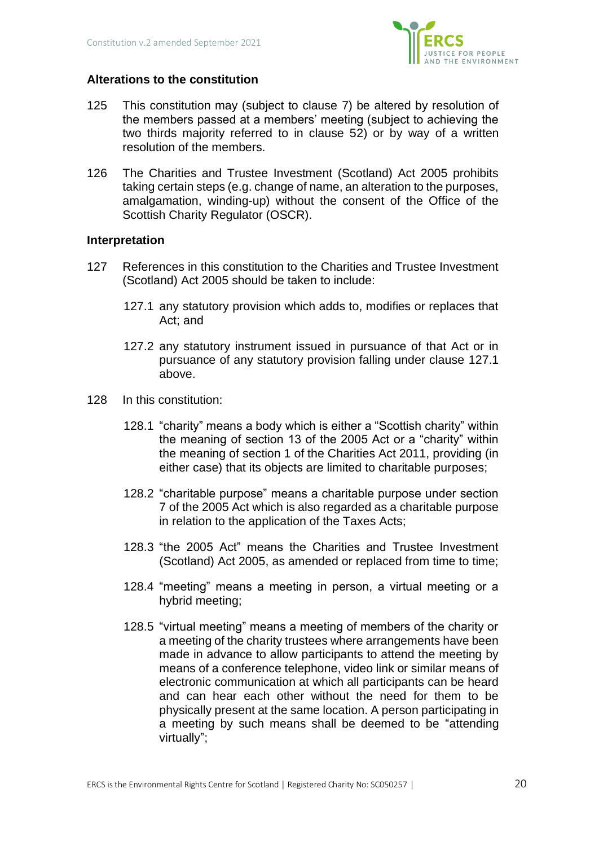

# **Alterations to the constitution**

- 125 This constitution may (subject to clause 7) be altered by resolution of the members passed at a members' meeting (subject to achieving the two thirds majority referred to in clause 52) or by way of a written resolution of the members.
- 126 The Charities and Trustee Investment (Scotland) Act 2005 prohibits taking certain steps (e.g. change of name, an alteration to the purposes, amalgamation, winding-up) without the consent of the Office of the Scottish Charity Regulator (OSCR).

## **Interpretation**

- 127 References in this constitution to the Charities and Trustee Investment (Scotland) Act 2005 should be taken to include:
	- 127.1 any statutory provision which adds to, modifies or replaces that Act; and
	- 127.2 any statutory instrument issued in pursuance of that Act or in pursuance of any statutory provision falling under clause 127.1 above.
- <span id="page-19-0"></span>128 In this constitution:
	- 128.1 "charity" means a body which is either a "Scottish charity" within the meaning of section 13 of the 2005 Act or a "charity" within the meaning of section 1 of the Charities Act 2011, providing (in either case) that its objects are limited to charitable purposes;
	- 128.2 "charitable purpose" means a charitable purpose under section 7 of the 2005 Act which is also regarded as a charitable purpose in relation to the application of the Taxes Acts;
	- 128.3 "the 2005 Act" means the Charities and Trustee Investment (Scotland) Act 2005, as amended or replaced from time to time;
	- 128.4 "meeting" means a meeting in person, a virtual meeting or a hybrid meeting;
	- 128.5 "virtual meeting" means a meeting of members of the charity or a meeting of the charity trustees where arrangements have been made in advance to allow participants to attend the meeting by means of a conference telephone, video link or similar means of electronic communication at which all participants can be heard and can hear each other without the need for them to be physically present at the same location. A person participating in a meeting by such means shall be deemed to be "attending virtually";